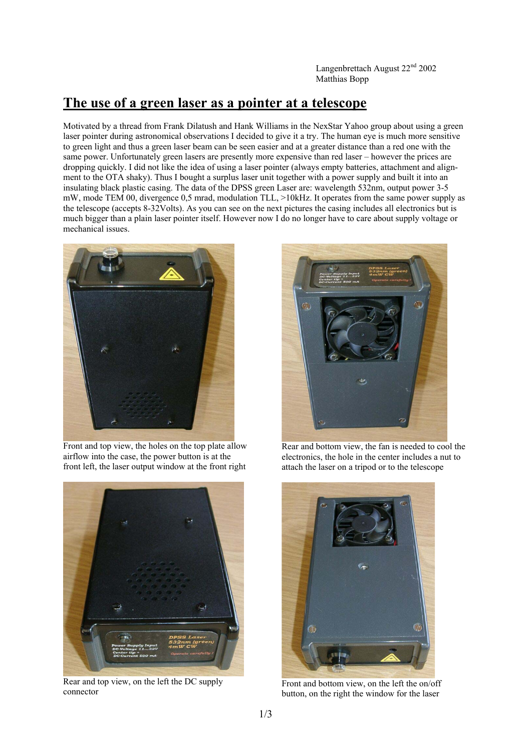Langenbrettach August 22<sup>nd</sup> 2002 Matthias Bopp

# **The use of a green laser as a pointer at a telescope**

Motivated by a thread from Frank Dilatush and Hank Williams in the NexStar Yahoo group about using a green laser pointer during astronomical observations I decided to give it a try. The human eye is much more sensitive to green light and thus a green laser beam can be seen easier and at a greater distance than a red one with the same power. Unfortunately green lasers are presently more expensive than red laser – however the prices are dropping quickly. I did not like the idea of using a laser pointer (always empty batteries, attachment and alignment to the OTA shaky). Thus I bought a surplus laser unit together with a power supply and built it into an insulating black plastic casing. The data of the DPSS green Laser are: wavelength 532nm, output power 3-5 mW, mode TEM 00, divergence 0,5 mrad, modulation TLL, >10kHz. It operates from the same power supply as the telescope (accepts 8-32Volts). As you can see on the next pictures the casing includes all electronics but is much bigger than a plain laser pointer itself. However now I do no longer have to care about supply voltage or mechanical issues.



Front and top view, the holes on the top plate allow airflow into the case, the power button is at the front left, the laser output window at the front right



Rear and top view, on the left the DC supply connector



Rear and bottom view, the fan is needed to cool the electronics, the hole in the center includes a nut to attach the laser on a tripod or to the telescope



Front and bottom view, on the left the on/off button, on the right the window for the laser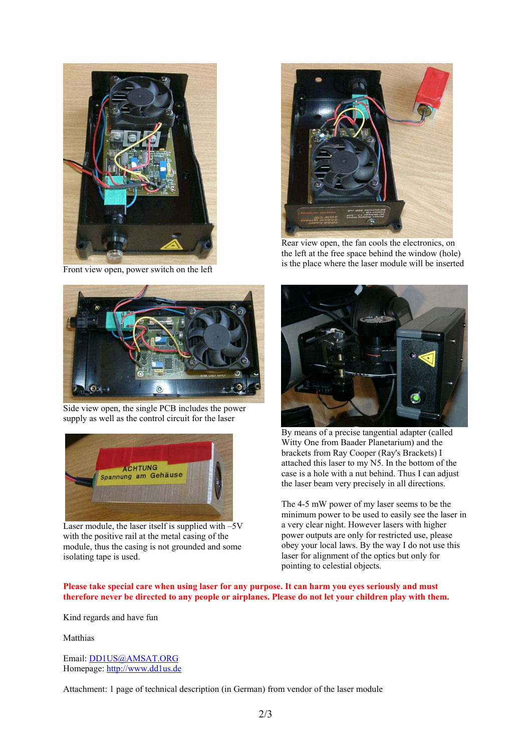

Front view open, power switch on the left



Side view open, the single PCB includes the power supply as well as the control circuit for the laser



Laser module, the laser itself is supplied with  $-5V$ with the positive rail at the metal casing of the module, thus the casing is not grounded and some isolating tape is used.



Rear view open, the fan cools the electronics, on the left at the free space behind the window (hole) is the place where the laser module will be inserted



By means of a precise tangential adapter (called Witty One from Baader Planetarium) and the brackets from Ray Cooper (Ray's Brackets) I attached this laser to my N5. In the bottom of the case is a hole with a nut behind. Thus I can adjust the laser beam very precisely in all directions.

The 4-5 mW power of my laser seems to be the minimum power to be used to easily see the laser in a very clear night. However lasers with higher power outputs are only for restricted use, please obey your local laws. By the way I do not use this laser for alignment of the optics but only for pointing to celestial objects.

#### Please take special care when using laser for any purpose. It can harm you eyes seriously and must **therefore never be directed to any people or airplanes. Please do not let your children play with them.**

Kind regards and have fun

Matthias

Email: DD1US@AMSAT.ORG Homepage: http://www.dd1us.de

Attachment: 1 page of technical description (in German) from vendor of the laser module